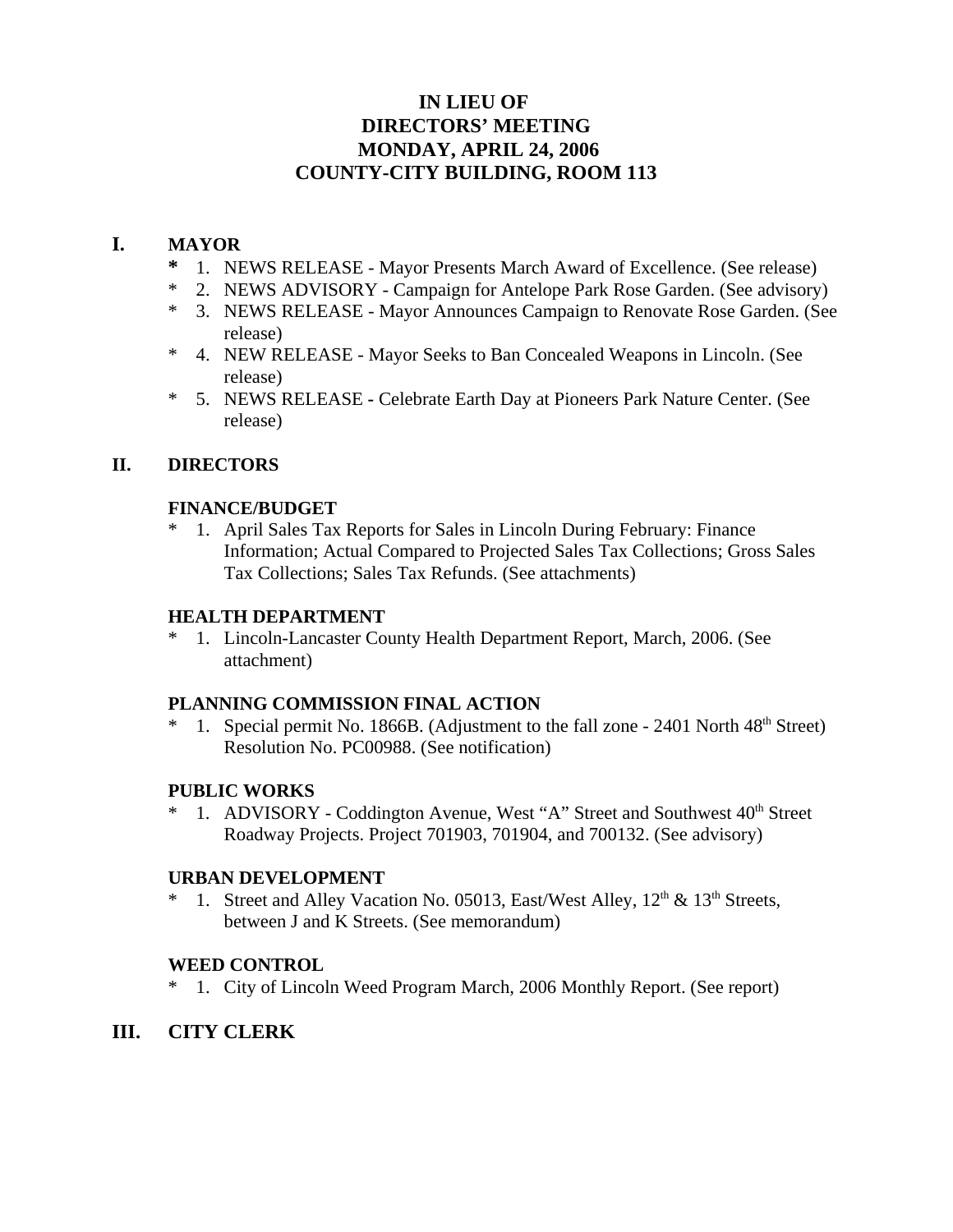# **IN LIEU OF DIRECTORS' MEETING MONDAY, APRIL 24, 2006 COUNTY-CITY BUILDING, ROOM 113**

# **I. MAYOR**

- **\*** 1. NEWS RELEASE Mayor Presents March Award of Excellence. (See release)
- \* 2. NEWS ADVISORY Campaign for Antelope Park Rose Garden. (See advisory)
- \* 3. NEWS RELEASE Mayor Announces Campaign to Renovate Rose Garden. (See release)
- \* 4. NEW RELEASE Mayor Seeks to Ban Concealed Weapons in Lincoln. (See release)
- \* 5. NEWS RELEASECelebrate Earth Day at Pioneers Park Nature Center. (See release)

# **II. DIRECTORS**

#### **FINANCE/BUDGET**

\* 1. April Sales Tax Reports for Sales in Lincoln During February: Finance Information; Actual Compared to Projected Sales Tax Collections; Gross Sales Tax Collections; Sales Tax Refunds. (See attachments)

## **HEALTH DEPARTMENT**

\* 1. Lincoln-Lancaster County Health Department Report, March, 2006. (See attachment)

#### **PLANNING COMMISSION FINAL ACTION**

\* 1. Special permit No. 1866B. (Adjustment to the fall zone - 2401 North  $48<sup>th</sup>$  Street) Resolution No. PC00988. (See notification)

### **PUBLIC WORKS**

\* 1. ADVISORY - Coddington Avenue, West "A" Street and Southwest  $40<sup>th</sup>$  Street Roadway Projects. Project 701903, 701904, and 700132. (See advisory)

#### **URBAN DEVELOPMENT**

\* 1. Street and Alley Vacation No. 05013, East/West Alley,  $12<sup>th</sup> \& 13<sup>th</sup>$  Streets, between J and K Streets. (See memorandum)

#### **WEED CONTROL**

\* 1. City of Lincoln Weed Program March, 2006 Monthly Report. (See report)

# **III. CITY CLERK**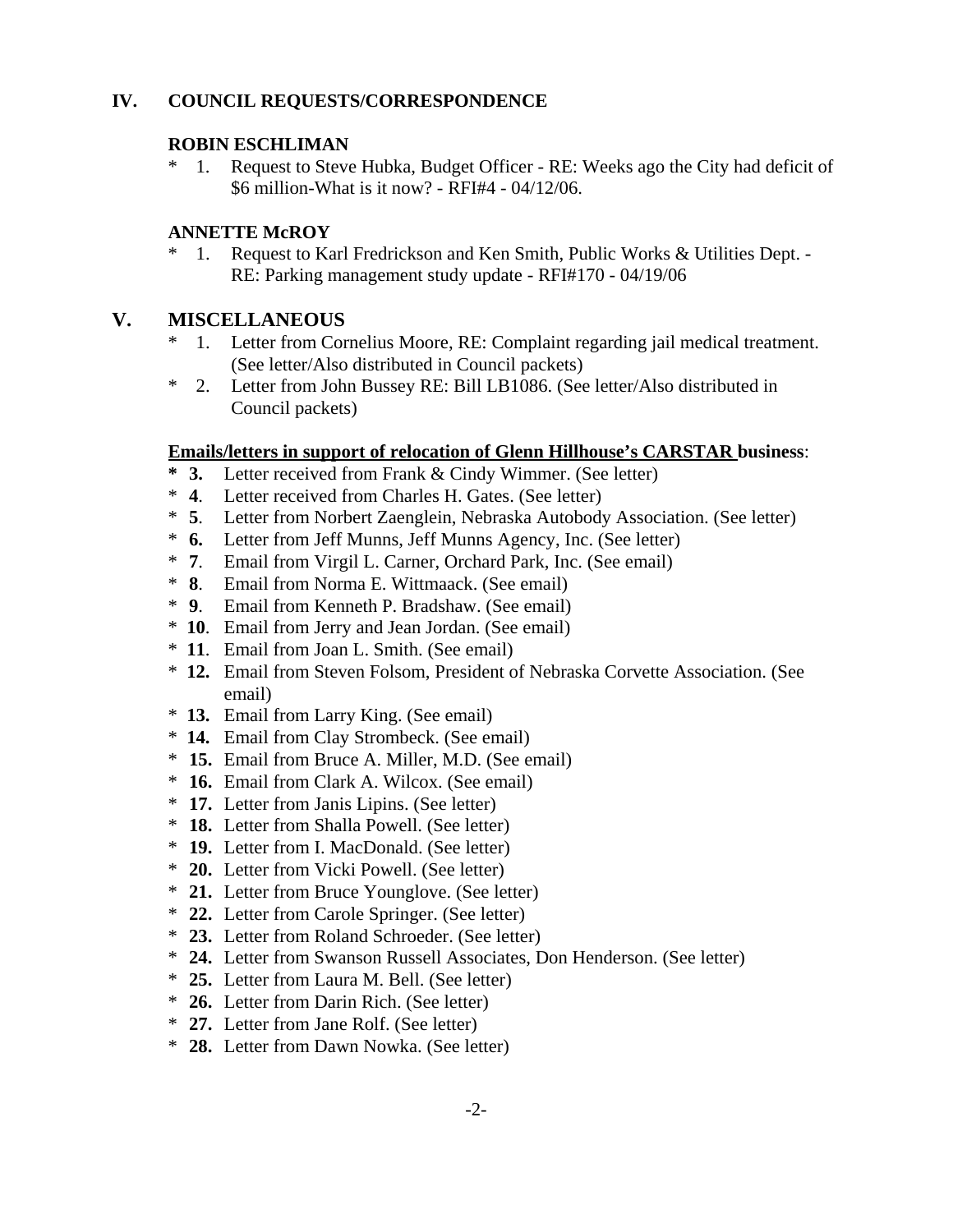### **IV. COUNCIL REQUESTS/CORRESPONDENCE**

#### **ROBIN ESCHLIMAN**

\* 1. Request to Steve Hubka, Budget Officer - RE: Weeks ago the City had deficit of \$6 million-What is it now? - RFI#4 - 04/12/06.

### **ANNETTE McROY**

\* 1. Request to Karl Fredrickson and Ken Smith, Public Works & Utilities Dept. - RE: Parking management study update - RFI#170 - 04/19/06

# **V. MISCELLANEOUS**

- 1. Letter from Cornelius Moore, RE: Complaint regarding jail medical treatment. (See letter/Also distributed in Council packets)
- \* 2. Letter from John Bussey RE: Bill LB1086. (See letter/Also distributed in Council packets)

#### **Emails/letters in support of relocation of Glenn Hillhouse's CARSTAR business**:

- **3.** Letter received from Frank & Cindy Wimmer. (See letter)
- \* **4**. Letter received from Charles H. Gates. (See letter)
- \* **5**. Letter from Norbert Zaenglein, Nebraska Autobody Association. (See letter)
- \* **6.** Letter from Jeff Munns, Jeff Munns Agency, Inc. (See letter)
- \* **7**. Email from Virgil L. Carner, Orchard Park, Inc. (See email)
- \* **8**. Email from Norma E. Wittmaack. (See email)
- \* **9**. Email from Kenneth P. Bradshaw. (See email)
- \* **10**. Email from Jerry and Jean Jordan. (See email)
- \* **11**. Email from Joan L. Smith. (See email)
- \* **12.** Email from Steven Folsom, President of Nebraska Corvette Association. (See email)
- \* **13.** Email from Larry King. (See email)
- \* **14.** Email from Clay Strombeck. (See email)
- \* **15.** Email from Bruce A. Miller, M.D. (See email)
- \* **16.** Email from Clark A. Wilcox. (See email)
- \* **17.** Letter from Janis Lipins. (See letter)
- \* **18.** Letter from Shalla Powell. (See letter)
- \* **19.** Letter from I. MacDonald. (See letter)
- \* **20.** Letter from Vicki Powell. (See letter)
- \* **21.** Letter from Bruce Younglove. (See letter)
- \* **22.** Letter from Carole Springer. (See letter)
- \* **23.** Letter from Roland Schroeder. (See letter)
- \* **24.** Letter from Swanson Russell Associates, Don Henderson. (See letter)
- \* **25.** Letter from Laura M. Bell. (See letter)
- \* **26.** Letter from Darin Rich. (See letter)
- \* **27.** Letter from Jane Rolf. (See letter)
- \* **28.** Letter from Dawn Nowka. (See letter)